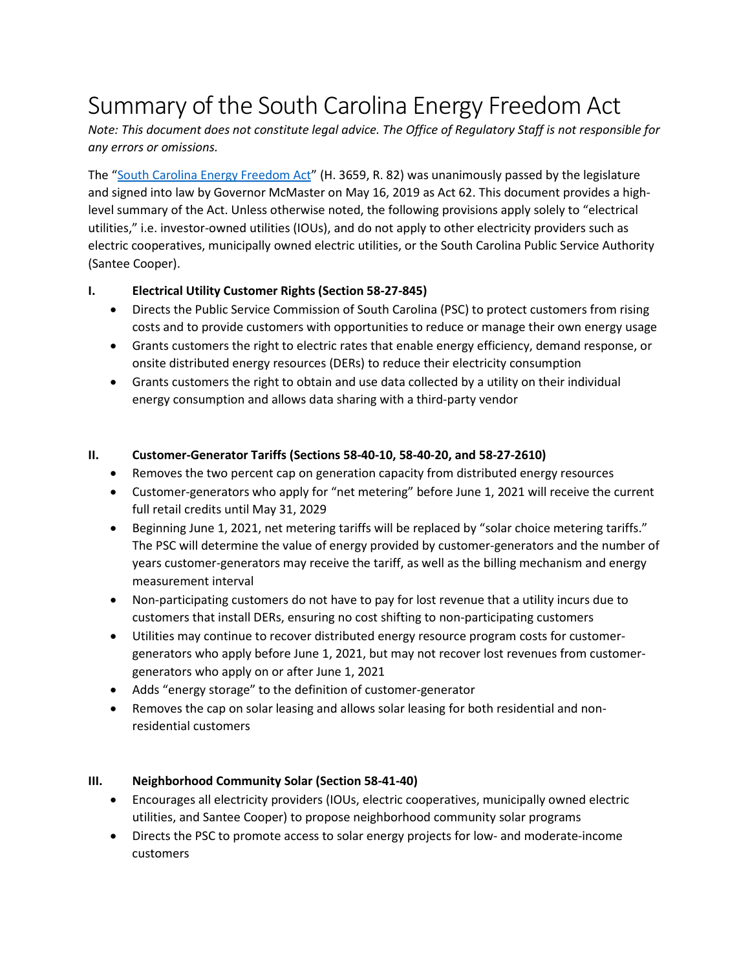# Summary of the South Carolina Energy Freedom Act

*Note: This document does not constitute legal advice. The Office of Regulatory Staff is not responsible for any errors or omissions.*

The ["South Carolina Energy Freedom Act"](https://www.scstatehouse.gov/billsearch.php?billnumbers=3659&session=123&summary=B) (H. 3659, R. 82) was unanimously passed by the legislature and signed into law by Governor McMaster on May 16, 2019 as Act 62. This document provides a highlevel summary of the Act. Unless otherwise noted, the following provisions apply solely to "electrical utilities," i.e. investor-owned utilities (IOUs), and do not apply to other electricity providers such as electric cooperatives, municipally owned electric utilities, or the South Carolina Public Service Authority (Santee Cooper).

### **I. Electrical Utility Customer Rights (Section 58-27-845)**

- Directs the Public Service Commission of South Carolina (PSC) to protect customers from rising costs and to provide customers with opportunities to reduce or manage their own energy usage
- Grants customers the right to electric rates that enable energy efficiency, demand response, or onsite distributed energy resources (DERs) to reduce their electricity consumption
- Grants customers the right to obtain and use data collected by a utility on their individual energy consumption and allows data sharing with a third-party vendor

### **II. Customer-Generator Tariffs (Sections 58-40-10, 58-40-20, and 58-27-2610)**

- Removes the two percent cap on generation capacity from distributed energy resources
- Customer-generators who apply for "net metering" before June 1, 2021 will receive the current full retail credits until May 31, 2029
- Beginning June 1, 2021, net metering tariffs will be replaced by "solar choice metering tariffs." The PSC will determine the value of energy provided by customer-generators and the number of years customer-generators may receive the tariff, as well as the billing mechanism and energy measurement interval
- Non-participating customers do not have to pay for lost revenue that a utility incurs due to customers that install DERs, ensuring no cost shifting to non-participating customers
- Utilities may continue to recover distributed energy resource program costs for customergenerators who apply before June 1, 2021, but may not recover lost revenues from customergenerators who apply on or after June 1, 2021
- Adds "energy storage" to the definition of customer-generator
- Removes the cap on solar leasing and allows solar leasing for both residential and nonresidential customers

## **III. Neighborhood Community Solar (Section 58-41-40)**

- Encourages all electricity providers (IOUs, electric cooperatives, municipally owned electric utilities, and Santee Cooper) to propose neighborhood community solar programs
- Directs the PSC to promote access to solar energy projects for low- and moderate-income customers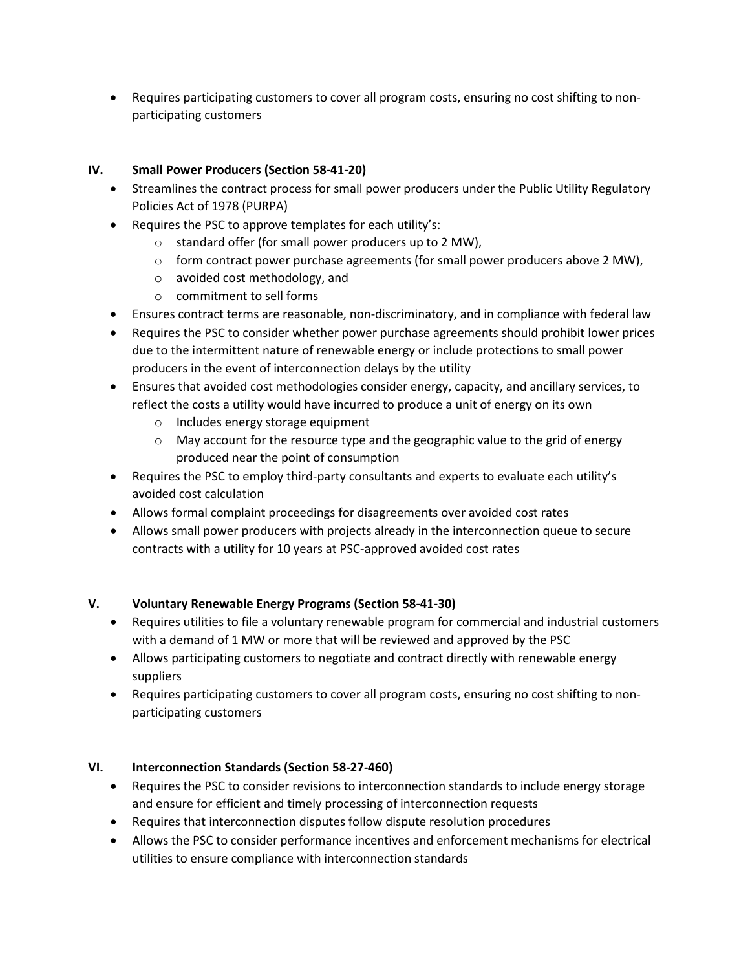• Requires participating customers to cover all program costs, ensuring no cost shifting to nonparticipating customers

## **IV. Small Power Producers (Section 58-41-20)**

- Streamlines the contract process for small power producers under the Public Utility Regulatory Policies Act of 1978 (PURPA)
- Requires the PSC to approve templates for each utility's:
	- o standard offer (for small power producers up to 2 MW),
	- $\circ$  form contract power purchase agreements (for small power producers above 2 MW),
	- o avoided cost methodology, and
	- o commitment to sell forms
- Ensures contract terms are reasonable, non-discriminatory, and in compliance with federal law
- Requires the PSC to consider whether power purchase agreements should prohibit lower prices due to the intermittent nature of renewable energy or include protections to small power producers in the event of interconnection delays by the utility
- Ensures that avoided cost methodologies consider energy, capacity, and ancillary services, to reflect the costs a utility would have incurred to produce a unit of energy on its own
	- o Includes energy storage equipment
	- $\circ$  May account for the resource type and the geographic value to the grid of energy produced near the point of consumption
- Requires the PSC to employ third-party consultants and experts to evaluate each utility's avoided cost calculation
- Allows formal complaint proceedings for disagreements over avoided cost rates
- Allows small power producers with projects already in the interconnection queue to secure contracts with a utility for 10 years at PSC-approved avoided cost rates

# **V. Voluntary Renewable Energy Programs (Section 58-41-30)**

- Requires utilities to file a voluntary renewable program for commercial and industrial customers with a demand of 1 MW or more that will be reviewed and approved by the PSC
- Allows participating customers to negotiate and contract directly with renewable energy suppliers
- Requires participating customers to cover all program costs, ensuring no cost shifting to nonparticipating customers

# **VI. Interconnection Standards (Section 58-27-460)**

- Requires the PSC to consider revisions to interconnection standards to include energy storage and ensure for efficient and timely processing of interconnection requests
- Requires that interconnection disputes follow dispute resolution procedures
- Allows the PSC to consider performance incentives and enforcement mechanisms for electrical utilities to ensure compliance with interconnection standards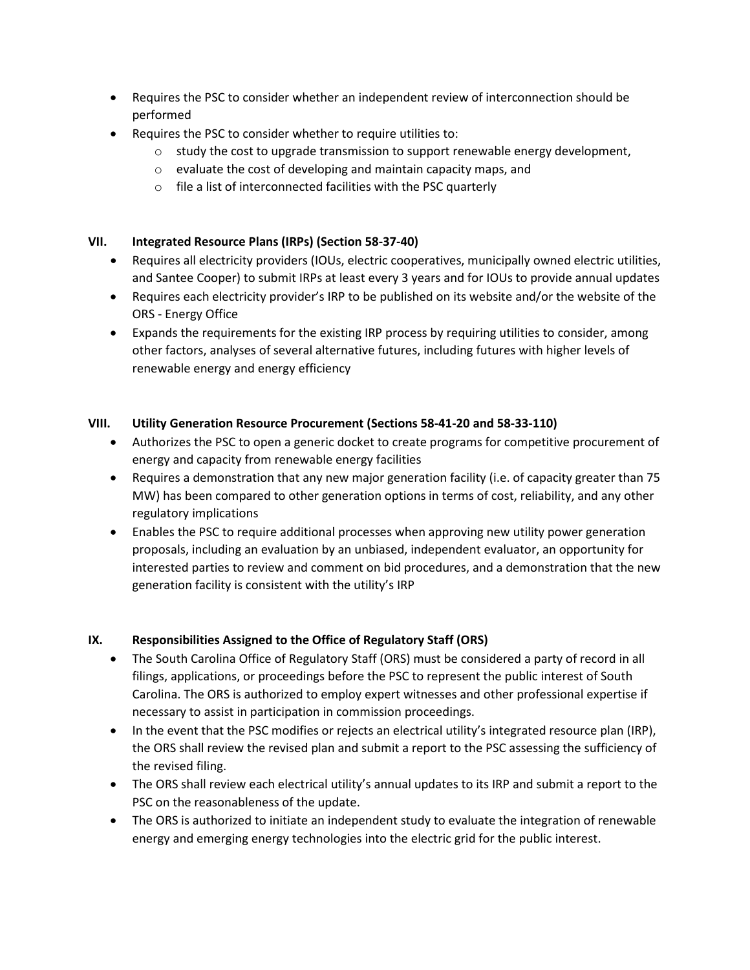- Requires the PSC to consider whether an independent review of interconnection should be performed
- Requires the PSC to consider whether to require utilities to:
	- $\circ$  study the cost to upgrade transmission to support renewable energy development,
	- o evaluate the cost of developing and maintain capacity maps, and
	- $\circ$  file a list of interconnected facilities with the PSC quarterly

### **VII. Integrated Resource Plans (IRPs) (Section 58-37-40)**

- Requires all electricity providers (IOUs, electric cooperatives, municipally owned electric utilities, and Santee Cooper) to submit IRPs at least every 3 years and for IOUs to provide annual updates
- Requires each electricity provider's IRP to be published on its website and/or the website of the ORS - Energy Office
- Expands the requirements for the existing IRP process by requiring utilities to consider, among other factors, analyses of several alternative futures, including futures with higher levels of renewable energy and energy efficiency

### **VIII. Utility Generation Resource Procurement (Sections 58-41-20 and 58-33-110)**

- Authorizes the PSC to open a generic docket to create programs for competitive procurement of energy and capacity from renewable energy facilities
- Requires a demonstration that any new major generation facility (i.e. of capacity greater than 75 MW) has been compared to other generation options in terms of cost, reliability, and any other regulatory implications
- Enables the PSC to require additional processes when approving new utility power generation proposals, including an evaluation by an unbiased, independent evaluator, an opportunity for interested parties to review and comment on bid procedures, and a demonstration that the new generation facility is consistent with the utility's IRP

## **IX. Responsibilities Assigned to the Office of Regulatory Staff (ORS)**

- The South Carolina Office of Regulatory Staff (ORS) must be considered a party of record in all filings, applications, or proceedings before the PSC to represent the public interest of South Carolina. The ORS is authorized to employ expert witnesses and other professional expertise if necessary to assist in participation in commission proceedings.
- In the event that the PSC modifies or rejects an electrical utility's integrated resource plan (IRP), the ORS shall review the revised plan and submit a report to the PSC assessing the sufficiency of the revised filing.
- The ORS shall review each electrical utility's annual updates to its IRP and submit a report to the PSC on the reasonableness of the update.
- The ORS is authorized to initiate an independent study to evaluate the integration of renewable energy and emerging energy technologies into the electric grid for the public interest.